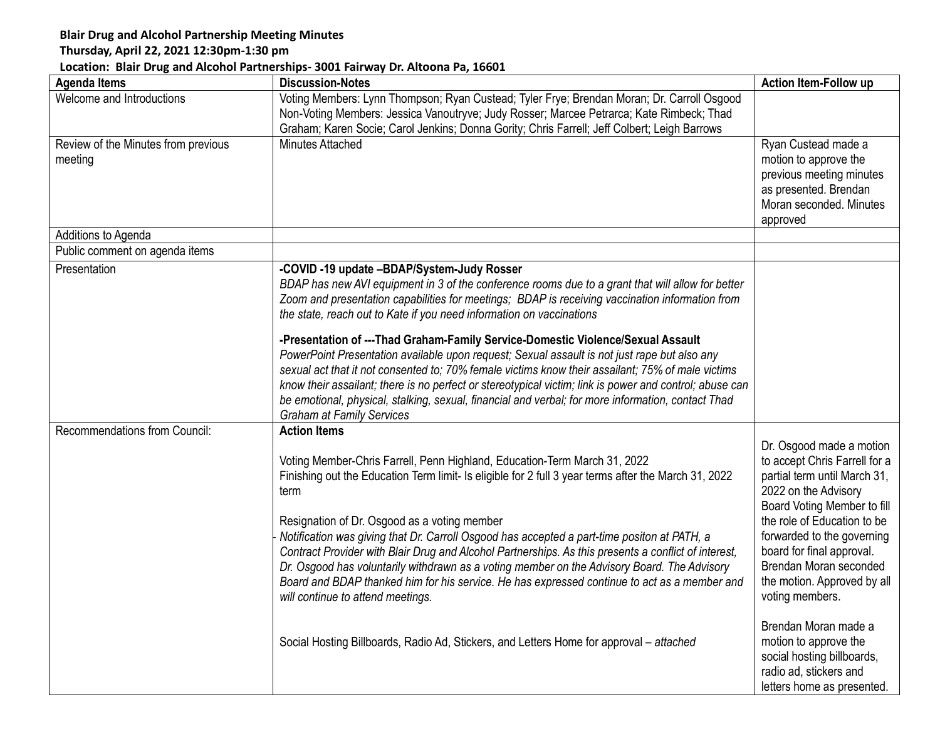## **Blair Drug and Alcohol Partnership Meeting Minutes**

## **Thursday, April 22, 2021 12:30pm-1:30 pm**

## **Location: Blair Drug and Alcohol Partnerships- 3001 Fairway Dr. Altoona Pa, 16601**

| <b>Agenda Items</b>                 | <b>Discussion-Notes</b>                                                                                                                                                                                       | <b>Action Item-Follow up</b>                        |
|-------------------------------------|---------------------------------------------------------------------------------------------------------------------------------------------------------------------------------------------------------------|-----------------------------------------------------|
| Welcome and Introductions           | Voting Members: Lynn Thompson; Ryan Custead; Tyler Frye; Brendan Moran; Dr. Carroll Osgood                                                                                                                    |                                                     |
|                                     | Non-Voting Members: Jessica Vanoutryve; Judy Rosser; Marcee Petrarca; Kate Rimbeck; Thad<br>Graham; Karen Socie; Carol Jenkins; Donna Gority; Chris Farrell; Jeff Colbert; Leigh Barrows                      |                                                     |
| Review of the Minutes from previous | Minutes Attached                                                                                                                                                                                              | Ryan Custead made a                                 |
| meeting                             |                                                                                                                                                                                                               | motion to approve the                               |
|                                     |                                                                                                                                                                                                               | previous meeting minutes                            |
|                                     |                                                                                                                                                                                                               | as presented. Brendan                               |
|                                     |                                                                                                                                                                                                               | Moran seconded. Minutes<br>approved                 |
| Additions to Agenda                 |                                                                                                                                                                                                               |                                                     |
| Public comment on agenda items      |                                                                                                                                                                                                               |                                                     |
| Presentation                        | -COVID -19 update -BDAP/System-Judy Rosser                                                                                                                                                                    |                                                     |
|                                     | BDAP has new AVI equipment in 3 of the conference rooms due to a grant that will allow for better                                                                                                             |                                                     |
|                                     | Zoom and presentation capabilities for meetings; BDAP is receiving vaccination information from                                                                                                               |                                                     |
|                                     | the state, reach out to Kate if you need information on vaccinations                                                                                                                                          |                                                     |
|                                     | -Presentation of ---Thad Graham-Family Service-Domestic Violence/Sexual Assault                                                                                                                               |                                                     |
|                                     | PowerPoint Presentation available upon request; Sexual assault is not just rape but also any                                                                                                                  |                                                     |
|                                     | sexual act that it not consented to; 70% female victims know their assailant; 75% of male victims                                                                                                             |                                                     |
|                                     | know their assailant; there is no perfect or stereotypical victim; link is power and control; abuse can<br>be emotional, physical, stalking, sexual, financial and verbal; for more information, contact Thad |                                                     |
|                                     | <b>Graham at Family Services</b>                                                                                                                                                                              |                                                     |
| Recommendations from Council:       | <b>Action Items</b>                                                                                                                                                                                           |                                                     |
|                                     |                                                                                                                                                                                                               | Dr. Osgood made a motion                            |
|                                     | Voting Member-Chris Farrell, Penn Highland, Education-Term March 31, 2022                                                                                                                                     | to accept Chris Farrell for a                       |
|                                     | Finishing out the Education Term limit- Is eligible for 2 full 3 year terms after the March 31, 2022                                                                                                          | partial term until March 31,                        |
|                                     | term                                                                                                                                                                                                          | 2022 on the Advisory<br>Board Voting Member to fill |
|                                     | Resignation of Dr. Osgood as a voting member                                                                                                                                                                  | the role of Education to be                         |
|                                     | Notification was giving that Dr. Carroll Osgood has accepted a part-time positon at PATH, a                                                                                                                   | forwarded to the governing                          |
|                                     | Contract Provider with Blair Drug and Alcohol Partnerships. As this presents a conflict of interest,                                                                                                          | board for final approval.                           |
|                                     | Dr. Osgood has voluntarily withdrawn as a voting member on the Advisory Board. The Advisory                                                                                                                   | Brendan Moran seconded                              |
|                                     | Board and BDAP thanked him for his service. He has expressed continue to act as a member and                                                                                                                  | the motion. Approved by all                         |
|                                     | will continue to attend meetings.                                                                                                                                                                             | voting members.                                     |
|                                     |                                                                                                                                                                                                               | Brendan Moran made a                                |
|                                     | Social Hosting Billboards, Radio Ad, Stickers, and Letters Home for approval - attached                                                                                                                       | motion to approve the                               |
|                                     |                                                                                                                                                                                                               | social hosting billboards,                          |
|                                     |                                                                                                                                                                                                               | radio ad, stickers and                              |
|                                     |                                                                                                                                                                                                               | letters home as presented.                          |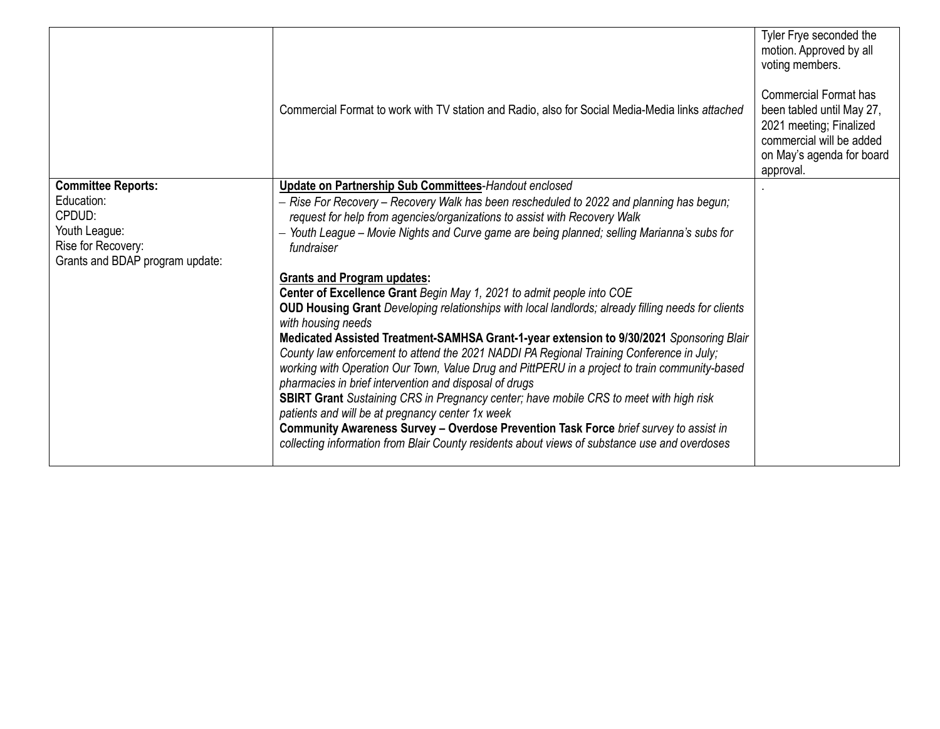| Commercial Format to work with TV station and Radio, also for Social Media-Media links attached                                                                                            | Tyler Frye seconded the<br>motion. Approved by all<br>voting members.<br><b>Commercial Format has</b><br>been tabled until May 27,<br>2021 meeting; Finalized<br>commercial will be added<br>on May's agenda for board<br>approval.                                                                                                                                                                                                      |
|--------------------------------------------------------------------------------------------------------------------------------------------------------------------------------------------|------------------------------------------------------------------------------------------------------------------------------------------------------------------------------------------------------------------------------------------------------------------------------------------------------------------------------------------------------------------------------------------------------------------------------------------|
| Update on Partnership Sub Committees-Handout enclosed                                                                                                                                      |                                                                                                                                                                                                                                                                                                                                                                                                                                          |
| - Rise For Recovery - Recovery Walk has been rescheduled to 2022 and planning has begun;                                                                                                   |                                                                                                                                                                                                                                                                                                                                                                                                                                          |
| - Youth League - Movie Nights and Curve game are being planned; selling Marianna's subs for<br>fundraiser                                                                                  |                                                                                                                                                                                                                                                                                                                                                                                                                                          |
|                                                                                                                                                                                            |                                                                                                                                                                                                                                                                                                                                                                                                                                          |
| Center of Excellence Grant Begin May 1, 2021 to admit people into COE                                                                                                                      |                                                                                                                                                                                                                                                                                                                                                                                                                                          |
| <b>OUD Housing Grant</b> Developing relationships with local landlords; already filling needs for clients                                                                                  |                                                                                                                                                                                                                                                                                                                                                                                                                                          |
|                                                                                                                                                                                            |                                                                                                                                                                                                                                                                                                                                                                                                                                          |
| County law enforcement to attend the 2021 NADDI PA Regional Training Conference in July;<br>working with Operation Our Town, Value Drug and PittPERU in a project to train community-based |                                                                                                                                                                                                                                                                                                                                                                                                                                          |
| <b>SBIRT Grant</b> Sustaining CRS in Pregnancy center; have mobile CRS to meet with high risk                                                                                              |                                                                                                                                                                                                                                                                                                                                                                                                                                          |
|                                                                                                                                                                                            |                                                                                                                                                                                                                                                                                                                                                                                                                                          |
| collecting information from Blair County residents about views of substance use and overdoses                                                                                              |                                                                                                                                                                                                                                                                                                                                                                                                                                          |
|                                                                                                                                                                                            | request for help from agencies/organizations to assist with Recovery Walk<br><b>Grants and Program updates:</b><br>with housing needs<br>Medicated Assisted Treatment-SAMHSA Grant-1-year extension to 9/30/2021 Sponsoring Blair<br>pharmacies in brief intervention and disposal of drugs<br>patients and will be at pregnancy center 1x week<br>Community Awareness Survey - Overdose Prevention Task Force brief survey to assist in |